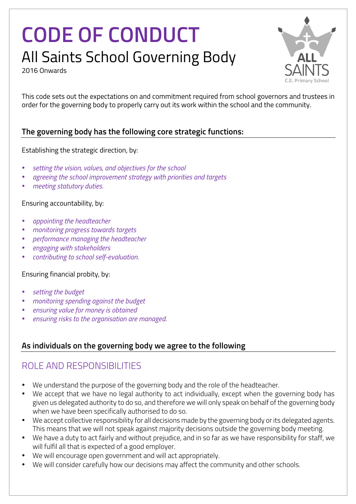# **CODE OF CONDUCT** All Saints School Governing Body





This code sets out the expectations on and commitment required from school governors and trustees in order for the governing body to properly carry out its work within the school and the community.

#### **The governing body has the following core strategic functions:**

#### Establishing the strategic direction, by:

- *setting the vision, values, and objectives for the school*
- *agreeing the school improvement strategy with priorities and targets*
- *meeting statutory duties.*

#### Ensuring accountability, by:

- *appointing the headteacher*
- *monitoring progress towards targets*
- *performance managing the headteacher*
- *engaging with stakeholders*
- *contributing to school self-evaluation.*

#### Ensuring financial probity, by:

- *setting the budget*
- *monitoring spending against the budget*
- *ensuring value for money is obtained*
- *ensuring risks to the organisation are managed*.

#### **As individuals on the governing body we agree to the following**

## ROLE AND RESPONSIBILITIES

- We understand the purpose of the governing body and the role of the headteacher.
- We accept that we have no legal authority to act individually, except when the governing body has given us delegated authority to do so, and therefore we will only speak on behalf of the governing body when we have been specifically authorised to do so.
- We accept collective responsibility for all decisions made by the governing body or its delegated agents. This means that we will not speak against majority decisions outside the governing body meeting.
- We have a duty to act fairly and without prejudice, and in so far as we have responsibility for staff, we will fulfil all that is expected of a good employer.
- We will encourage open government and will act appropriately.
- We will consider carefully how our decisions may affect the community and other schools.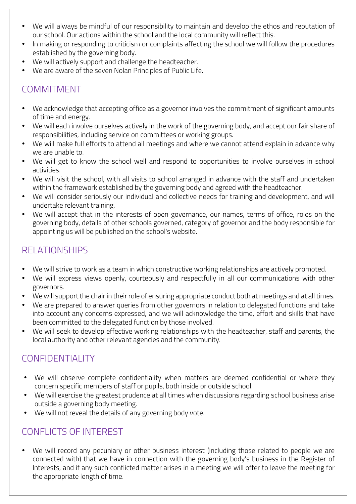- We will always be mindful of our responsibility to maintain and develop the ethos and reputation of our school. Our actions within the school and the local community will reflect this.
- In making or responding to criticism or complaints affecting the school we will follow the procedures established by the governing body.
- We will actively support and challenge the headteacher.
- We are aware of the seven Nolan Principles of Public Life.

## **COMMITMENT**

- We acknowledge that accepting office as a governor involves the commitment of significant amounts of time and energy.
- We will each involve ourselves actively in the work of the governing body, and accept our fair share of responsibilities, including service on committees or working groups.
- We will make full efforts to attend all meetings and where we cannot attend explain in advance why we are unable to.
- We will get to know the school well and respond to opportunities to involve ourselves in school activities.
- We will visit the school, with all visits to school arranged in advance with the staff and undertaken within the framework established by the governing body and agreed with the headteacher.
- We will consider seriously our individual and collective needs for training and development, and will undertake relevant training.
- We will accept that in the interests of open governance, our names, terms of office, roles on the governing body, details of other schools governed, category of governor and the body responsible for appointing us will be published on the school's website.

# RELATIONSHIPS

- We will strive to work as a team in which constructive working relationships are actively promoted.
- We will express views openly, courteously and respectfully in all our communications with other governors.
- We will support the chair in their role of ensuring appropriate conduct both at meetings and at all times.
- We are prepared to answer queries from other governors in relation to delegated functions and take into account any concerns expressed, and we will acknowledge the time, effort and skills that have been committed to the delegated function by those involved.
- We will seek to develop effective working relationships with the headteacher, staff and parents, the local authority and other relevant agencies and the community.

## CONFIDENTIALITY

- We will observe complete confidentiality when matters are deemed confidential or where they concern specific members of staff or pupils, both inside or outside school.
- We will exercise the greatest prudence at all times when discussions regarding school business arise outside a governing body meeting.
- We will not reveal the details of any governing body vote.

## CONFLICTS OF INTEREST

• We will record any pecuniary or other business interest (including those related to people we are connected with) that we have in connection with the governing body's business in the Register of Interests, and if any such conflicted matter arises in a meeting we will offer to leave the meeting for the appropriate length of time.